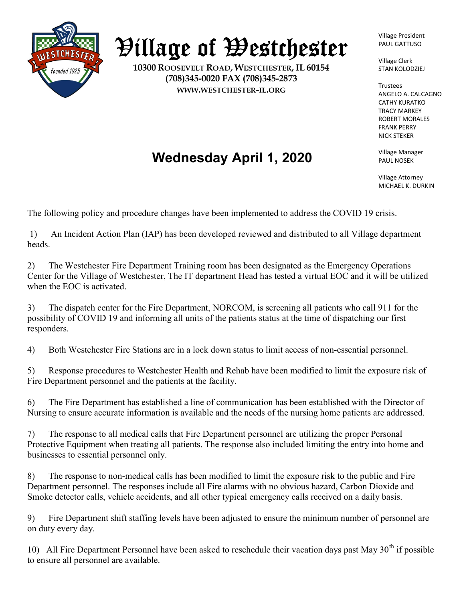

## Village of Westchester

10300 ROOSEVELT ROAD, WESTCHESTER, IL 60154 (708)345-0020 FAX (708)345-2873 WWW.WESTCHESTER-IL.ORG

Village President PAUL GATTUSO

Village Clerk STAN KOLODZIEJ

Trustees ANGELO A. CALCAGNO CATHY KURATKO TRACY MARKEY ROBERT MORALES FRANK PERRY NICK STEKER

Village Manager PAUL NOSEK

Village Attorney MICHAEL K. DURKIN

Wednesday April 1, 2020

The following policy and procedure changes have been implemented to address the COVID 19 crisis.

 1) An Incident Action Plan (IAP) has been developed reviewed and distributed to all Village department heads.

2) The Westchester Fire Department Training room has been designated as the Emergency Operations Center for the Village of Westchester, The IT department Head has tested a virtual EOC and it will be utilized when the EOC is activated.

3) The dispatch center for the Fire Department, NORCOM, is screening all patients who call 911 for the possibility of COVID 19 and informing all units of the patients status at the time of dispatching our first responders.

4) Both Westchester Fire Stations are in a lock down status to limit access of non-essential personnel.

5) Response procedures to Westchester Health and Rehab have been modified to limit the exposure risk of Fire Department personnel and the patients at the facility.

6) The Fire Department has established a line of communication has been established with the Director of Nursing to ensure accurate information is available and the needs of the nursing home patients are addressed.

7) The response to all medical calls that Fire Department personnel are utilizing the proper Personal Protective Equipment when treating all patients. The response also included limiting the entry into home and businesses to essential personnel only.

8) The response to non-medical calls has been modified to limit the exposure risk to the public and Fire Department personnel. The responses include all Fire alarms with no obvious hazard, Carbon Dioxide and Smoke detector calls, vehicle accidents, and all other typical emergency calls received on a daily basis.

9) Fire Department shift staffing levels have been adjusted to ensure the minimum number of personnel are on duty every day.

10) All Fire Department Personnel have been asked to reschedule their vacation days past May  $30<sup>th</sup>$  if possible to ensure all personnel are available.